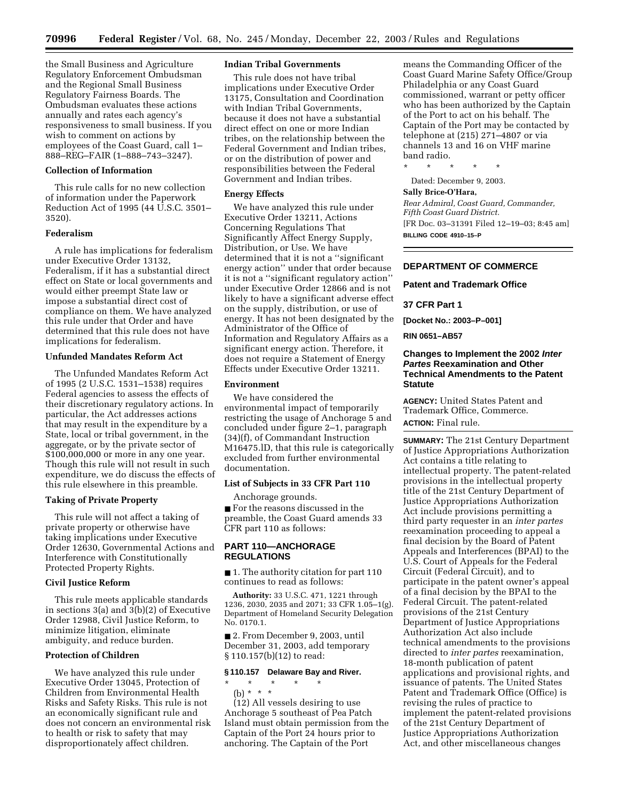the Small Business and Agriculture Regulatory Enforcement Ombudsman and the Regional Small Business Regulatory Fairness Boards. The Ombudsman evaluates these actions annually and rates each agency's responsiveness to small business. If you wish to comment on actions by employees of the Coast Guard, call 1– 888–REG–FAIR (1–888–743–3247).

# **Collection of Information**

This rule calls for no new collection of information under the Paperwork Reduction Act of 1995 (44 U.S.C. 3501– 3520).

#### **Federalism**

A rule has implications for federalism under Executive Order 13132, Federalism, if it has a substantial direct effect on State or local governments and would either preempt State law or impose a substantial direct cost of compliance on them. We have analyzed this rule under that Order and have determined that this rule does not have implications for federalism.

### **Unfunded Mandates Reform Act**

The Unfunded Mandates Reform Act of 1995 (2 U.S.C. 1531–1538) requires Federal agencies to assess the effects of their discretionary regulatory actions. In particular, the Act addresses actions that may result in the expenditure by a State, local or tribal government, in the aggregate, or by the private sector of \$100,000,000 or more in any one year. Though this rule will not result in such expenditure, we do discuss the effects of this rule elsewhere in this preamble.

#### **Taking of Private Property**

This rule will not affect a taking of private property or otherwise have taking implications under Executive Order 12630, Governmental Actions and Interference with Constitutionally Protected Property Rights.

### **Civil Justice Reform**

This rule meets applicable standards in sections 3(a) and 3(b)(2) of Executive Order 12988, Civil Justice Reform, to minimize litigation, eliminate ambiguity, and reduce burden.

### **Protection of Children**

We have analyzed this rule under Executive Order 13045, Protection of Children from Environmental Health Risks and Safety Risks. This rule is not an economically significant rule and does not concern an environmental risk to health or risk to safety that may disproportionately affect children.

#### **Indian Tribal Governments**

This rule does not have tribal implications under Executive Order 13175, Consultation and Coordination with Indian Tribal Governments, because it does not have a substantial direct effect on one or more Indian tribes, on the relationship between the Federal Government and Indian tribes, or on the distribution of power and responsibilities between the Federal Government and Indian tribes.

#### **Energy Effects**

We have analyzed this rule under Executive Order 13211, Actions Concerning Regulations That Significantly Affect Energy Supply, Distribution, or Use. We have determined that it is not a ''significant energy action'' under that order because it is not a ''significant regulatory action'' under Executive Order 12866 and is not likely to have a significant adverse effect on the supply, distribution, or use of energy. It has not been designated by the Administrator of the Office of Information and Regulatory Affairs as a significant energy action. Therefore, it does not require a Statement of Energy Effects under Executive Order 13211.

#### **Environment**

We have considered the environmental impact of temporarily restricting the usage of Anchorage 5 and concluded under figure 2–1, paragraph (34)(f), of Commandant Instruction M16475.lD, that this rule is categorically excluded from further environmental documentation.

# **List of Subjects in 33 CFR Part 110**

Anchorage grounds. ■ For the reasons discussed in the preamble, the Coast Guard amends 33 CFR part 110 as follows:

# **PART 110—ANCHORAGE REGULATIONS**

■ 1. The authority citation for part 110 continues to read as follows:

**Authority:** 33 U.S.C. 471, 1221 through 1236, 2030, 2035 and 2071; 33 CFR 1.05–1(g). Department of Homeland Security Delegation No. 0170.1.

■ 2. From December 9, 2003, until December 31, 2003, add temporary § 110.157(b)(12) to read:

## **§ 110.157 Delaware Bay and River.**

# \* \* \* \* \*

(b) \* \* \*

(12) All vessels desiring to use Anchorage 5 southeast of Pea Patch Island must obtain permission from the Captain of the Port 24 hours prior to anchoring. The Captain of the Port

means the Commanding Officer of the Coast Guard Marine Safety Office/Group Philadelphia or any Coast Guard commissioned, warrant or petty officer who has been authorized by the Captain of the Port to act on his behalf. The Captain of the Port may be contacted by telephone at (215) 271–4807 or via channels 13 and 16 on VHF marine band radio.

\* \* \* \* \*

# Dated: December 9, 2003.

#### **Sally Brice-O'Hara,**

*Rear Admiral, Coast Guard, Commander, Fifth Coast Guard District.*  [FR Doc. 03–31391 Filed 12–19–03; 8:45 am] **BILLING CODE 4910–15–P** 

## **DEPARTMENT OF COMMERCE**

#### **Patent and Trademark Office**

# **37 CFR Part 1**

**[Docket No.: 2003–P–001]** 

## **RIN 0651–AB57**

# **Changes to Implement the 2002 Inter Partes Reexamination and Other Technical Amendments to the Patent Statute**

**AGENCY:** United States Patent and Trademark Office, Commerce. **ACTION:** Final rule.

**SUMMARY:** The 21st Century Department of Justice Appropriations Authorization Act contains a title relating to intellectual property. The patent-related provisions in the intellectual property title of the 21st Century Department of Justice Appropriations Authorization Act include provisions permitting a third party requester in an *inter partes*  reexamination proceeding to appeal a final decision by the Board of Patent Appeals and Interferences (BPAI) to the U.S. Court of Appeals for the Federal Circuit (Federal Circuit), and to participate in the patent owner's appeal of a final decision by the BPAI to the Federal Circuit. The patent-related provisions of the 21st Century Department of Justice Appropriations Authorization Act also include technical amendments to the provisions directed to *inter partes* reexamination, 18-month publication of patent applications and provisional rights, and issuance of patents. The United States Patent and Trademark Office (Office) is revising the rules of practice to implement the patent-related provisions of the 21st Century Department of Justice Appropriations Authorization Act, and other miscellaneous changes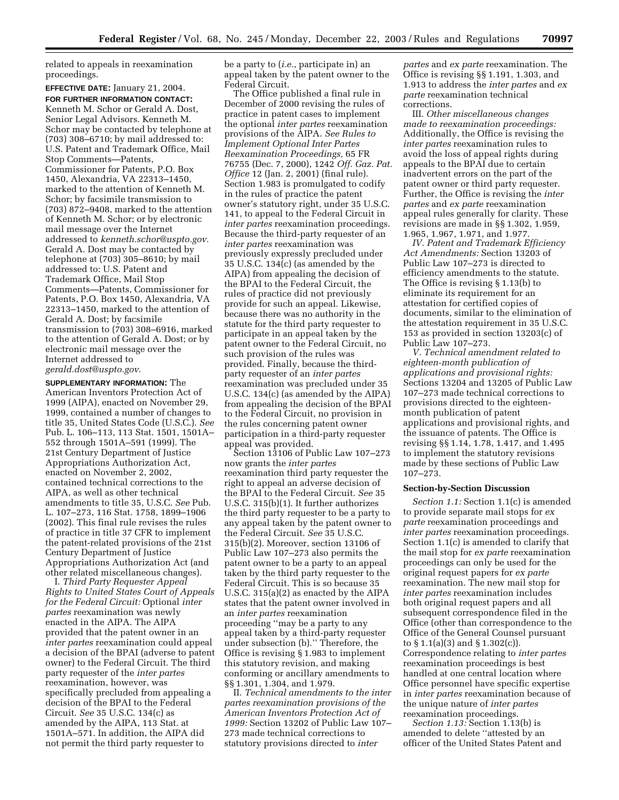related to appeals in reexamination proceedings.

**EFFECTIVE DATE:** January 21, 2004. **FOR FURTHER INFORMATION CONTACT:**  Kenneth M. Schor or Gerald A. Dost, Senior Legal Advisors. Kenneth M. Schor may be contacted by telephone at (703) 308–6710; by mail addressed to: U.S. Patent and Trademark Office, Mail Stop Comments—Patents, Commissioner for Patents, P.O. Box 1450, Alexandria, VA 22313–1450, marked to the attention of Kenneth M. Schor; by facsimile transmission to (703) 872–9408, marked to the attention of Kenneth M. Schor; or by electronic mail message over the Internet addressed to *kenneth.schor@uspto.gov.*  Gerald A. Dost may be contacted by telephone at (703) 305–8610; by mail addressed to: U.S. Patent and Trademark Office, Mail Stop Comments—Patents, Commissioner for Patents, P.O. Box 1450, Alexandria, VA 22313–1450, marked to the attention of Gerald A. Dost; by facsimile transmission to (703) 308–6916, marked to the attention of Gerald A. Dost; or by electronic mail message over the Internet addressed to *gerald.dost@uspto.gov.* 

**SUPPLEMENTARY INFORMATION:** The American Inventors Protection Act of 1999 (AIPA), enacted on November 29, 1999, contained a number of changes to title 35, United States Code (U.S.C.). *See*  Pub. L. 106–113, 113 Stat. 1501, 1501A– 552 through 1501A–591 (1999). The 21st Century Department of Justice Appropriations Authorization Act, enacted on November 2, 2002, contained technical corrections to the AIPA, as well as other technical amendments to title 35, U.S.C. *See* Pub. L. 107–273, 116 Stat. 1758, 1899–1906 (2002). This final rule revises the rules of practice in title 37 CFR to implement the patent-related provisions of the 21st Century Department of Justice Appropriations Authorization Act (and other related miscellaneous changes).

I. *Third Party Requester Appeal Rights to United States Court of Appeals for the Federal Circuit:* Optional *inter partes* reexamination was newly enacted in the AIPA. The AIPA provided that the patent owner in an *inter partes* reexamination could appeal a decision of the BPAI (adverse to patent owner) to the Federal Circuit. The third party requester of the *inter partes*  reexamination, however, was specifically precluded from appealing a decision of the BPAI to the Federal Circuit. *See* 35 U.S.C. 134(c) as amended by the AIPA, 113 Stat. at 1501A–571. In addition, the AIPA did not permit the third party requester to

be a party to (*i.e.*, participate in) an appeal taken by the patent owner to the Federal Circuit.

The Office published a final rule in December of 2000 revising the rules of practice in patent cases to implement the optional *inter partes* reexamination provisions of the AIPA. *See Rules to Implement Optional Inter Partes Reexamination Proceedings,* 65 FR 76755 (Dec. 7, 2000), 1242 *Off. Gaz. Pat. Office* 12 (Jan. 2, 2001) (final rule). Section 1.983 is promulgated to codify in the rules of practice the patent owner's statutory right, under 35 U.S.C. 141, to appeal to the Federal Circuit in *inter partes* reexamination proceedings. Because the third-party requester of an *inter partes* reexamination was previously expressly precluded under 35 U.S.C. 134(c) (as amended by the AIPA) from appealing the decision of the BPAI to the Federal Circuit, the rules of practice did not previously provide for such an appeal. Likewise, because there was no authority in the statute for the third party requester to participate in an appeal taken by the patent owner to the Federal Circuit, no such provision of the rules was provided. Finally, because the thirdparty requester of an *inter partes*  reexamination was precluded under 35 U.S.C. 134(c) (as amended by the AIPA) from appealing the decision of the BPAI to the Federal Circuit, no provision in the rules concerning patent owner participation in a third-party requester appeal was provided.

Section 13106 of Public Law 107–273 now grants the *inter partes*  reexamination third party requester the right to appeal an adverse decision of the BPAI to the Federal Circuit. *See* 35 U.S.C. 315(b)(1). It further authorizes the third party requester to be a party to any appeal taken by the patent owner to the Federal Circuit. *See* 35 U.S.C. 315(b)(2). Moreover, section 13106 of Public Law 107–273 also permits the patent owner to be a party to an appeal taken by the third party requester to the Federal Circuit. This is so because 35 U.S.C. 315(a)(2) as enacted by the AIPA states that the patent owner involved in an *inter partes* reexamination proceeding ''may be a party to any appeal taken by a third-party requester under subsection (b).'' Therefore, the Office is revising § 1.983 to implement this statutory revision, and making conforming or ancillary amendments to §§ 1.301, 1.304, and 1.979.

II. *Technical amendments to the inter partes reexamination provisions of the American Inventors Protection Act of 1999:* Section 13202 of Public Law 107– 273 made technical corrections to statutory provisions directed to *inter* 

*partes* and *ex parte* reexamination. The Office is revising §§ 1.191, 1.303, and 1.913 to address the *inter partes* and *ex parte* reexamination technical corrections.

III. *Other miscellaneous changes made to reexamination proceedings:*  Additionally, the Office is revising the *inter partes* reexamination rules to avoid the loss of appeal rights during appeals to the BPAI due to certain inadvertent errors on the part of the patent owner or third party requester. Further, the Office is revising the *inter partes* and *ex parte* reexamination appeal rules generally for clarity. These revisions are made in §§ 1.302, 1.959, 1.965, 1.967, 1.971, and 1.977.

*IV. Patent and Trademark Efficiency Act Amendments:* Section 13203 of Public Law 107–273 is directed to efficiency amendments to the statute. The Office is revising § 1.13(b) to eliminate its requirement for an attestation for certified copies of documents, similar to the elimination of the attestation requirement in 35 U.S.C. 153 as provided in section 13203(c) of Public Law 107–273.

*V. Technical amendment related to eighteen-month publication of applications and provisional rights:*  Sections 13204 and 13205 of Public Law 107–273 made technical corrections to provisions directed to the eighteenmonth publication of patent applications and provisional rights, and the issuance of patents. The Office is revising §§ 1.14, 1.78, 1.417, and 1.495 to implement the statutory revisions made by these sections of Public Law 107–273.

#### **Section-by-Section Discussion**

*Section 1.1:* Section 1.1(c) is amended to provide separate mail stops for *ex parte* reexamination proceedings and *inter partes* reexamination proceedings. Section 1.1(c) is amended to clarify that the mail stop for *ex parte* reexamination proceedings can only be used for the original request papers for *ex parte*  reexamination. The new mail stop for *inter partes* reexamination includes both original request papers and all subsequent correspondence filed in the Office (other than correspondence to the Office of the General Counsel pursuant to § 1.1(a)(3) and § 1.302(c)). Correspondence relating to *inter partes*  reexamination proceedings is best handled at one central location where Office personnel have specific expertise in *inter partes* reexamination because of the unique nature of *inter partes*  reexamination proceedings.

*Section 1.13:* Section 1.13(b) is amended to delete ''attested by an officer of the United States Patent and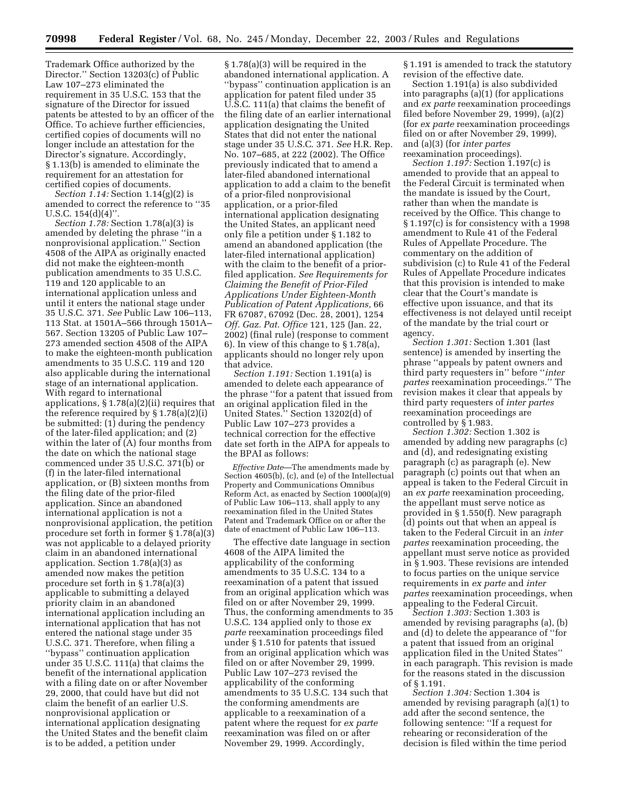Trademark Office authorized by the Director.'' Section 13203(c) of Public Law 107–273 eliminated the requirement in 35 U.S.C. 153 that the signature of the Director for issued patents be attested to by an officer of the Office. To achieve further efficiencies, certified copies of documents will no longer include an attestation for the Director's signature. Accordingly, § 1.13(b) is amended to eliminate the requirement for an attestation for certified copies of documents.

*Section 1.14:* Section 1.14(g)(2) is amended to correct the reference to ''35 U.S.C.  $154(d)(4)$ ".

*Section 1.78:* Section 1.78(a)(3) is amended by deleting the phrase ''in a nonprovisional application.'' Section 4508 of the AIPA as originally enacted did not make the eighteen-month publication amendments to 35 U.S.C. 119 and 120 applicable to an international application unless and until it enters the national stage under 35 U.S.C. 371. *See* Public Law 106–113, 113 Stat. at 1501A–566 through 1501A– 567. Section 13205 of Public Law 107– 273 amended section 4508 of the AIPA to make the eighteen-month publication amendments to 35 U.S.C. 119 and 120 also applicable during the international stage of an international application. With regard to international applications, § 1.78(a)(2)(ii) requires that the reference required by § 1.78(a)(2)(i) be submitted: (1) during the pendency of the later-filed application; and (2) within the later of (A) four months from the date on which the national stage commenced under 35 U.S.C. 371(b) or (f) in the later-filed international application, or (B) sixteen months from the filing date of the prior-filed application. Since an abandoned international application is not a nonprovisional application, the petition procedure set forth in former § 1.78(a)(3) was not applicable to a delayed priority claim in an abandoned international application. Section 1.78(a)(3) as amended now makes the petition procedure set forth in § 1.78(a)(3) applicable to submitting a delayed priority claim in an abandoned international application including an international application that has not entered the national stage under 35 U.S.C. 371. Therefore, when filing a ''bypass'' continuation application under 35 U.S.C. 111(a) that claims the benefit of the international application with a filing date on or after November 29, 2000, that could have but did not claim the benefit of an earlier U.S. nonprovisional application or international application designating the United States and the benefit claim is to be added, a petition under

§ 1.78(a)(3) will be required in the abandoned international application. A ''bypass'' continuation application is an application for patent filed under 35 U.S.C. 111(a) that claims the benefit of the filing date of an earlier international application designating the United States that did not enter the national stage under 35 U.S.C. 371. *See* H.R. Rep. No. 107–685, at 222 (2002). The Office previously indicated that to amend a later-filed abandoned international application to add a claim to the benefit of a prior-filed nonprovisional application, or a prior-filed international application designating the United States, an applicant need only file a petition under § 1.182 to amend an abandoned application (the later-filed international application) with the claim to the benefit of a priorfiled application. *See Requirements for Claiming the Benefit of Prior-Filed Applications Under Eighteen-Month Publication of Patent Applications,* 66 FR 67087, 67092 (Dec. 28, 2001), 1254 *Off. Gaz. Pat. Office* 121, 125 (Jan. 22, 2002) (final rule) (response to comment 6). In view of this change to § 1.78(a), applicants should no longer rely upon that advice.

*Section 1.191:* Section 1.191(a) is amended to delete each appearance of the phrase ''for a patent that issued from an original application filed in the United States.'' Section 13202(d) of Public Law 107–273 provides a technical correction for the effective date set forth in the AIPA for appeals to the BPAI as follows:

*Effective Date*—The amendments made by Section 4605(b), (c), and (e) of the Intellectual Property and Communications Omnibus Reform Act, as enacted by Section 1000(a)(9) of Public Law 106–113, shall apply to any reexamination filed in the United States Patent and Trademark Office on or after the date of enactment of Public Law 106–113.

The effective date language in section 4608 of the AIPA limited the applicability of the conforming amendments to 35 U.S.C. 134 to a reexamination of a patent that issued from an original application which was filed on or after November 29, 1999. Thus, the conforming amendments to 35 U.S.C. 134 applied only to those *ex parte* reexamination proceedings filed under § 1.510 for patents that issued from an original application which was filed on or after November 29, 1999. Public Law 107–273 revised the applicability of the conforming amendments to 35 U.S.C. 134 such that the conforming amendments are applicable to a reexamination of a patent where the request for *ex parte*  reexamination was filed on or after November 29, 1999. Accordingly,

§ 1.191 is amended to track the statutory revision of the effective date.

Section 1.191(a) is also subdivided into paragraphs (a)(1) (for applications and *ex parte* reexamination proceedings filed before November 29, 1999), (a)(2) (for *ex parte* reexamination proceedings filed on or after November 29, 1999), and (a)(3) (for *inter partes*  reexamination proceedings).

*Section 1.197:* Section 1.197(c) is amended to provide that an appeal to the Federal Circuit is terminated when the mandate is issued by the Court, rather than when the mandate is received by the Office. This change to § 1.197(c) is for consistency with a 1998 amendment to Rule 41 of the Federal Rules of Appellate Procedure. The commentary on the addition of subdivision (c) to Rule 41 of the Federal Rules of Appellate Procedure indicates that this provision is intended to make clear that the Court's mandate is effective upon issuance, and that its effectiveness is not delayed until receipt of the mandate by the trial court or agency.

*Section 1.301:* Section 1.301 (last sentence) is amended by inserting the phrase ''appeals by patent owners and third party requesters in'' before ''*inter partes* reexamination proceedings.'' The revision makes it clear that appeals by third party requesters of *inter partes*  reexamination proceedings are controlled by § 1.983.

*Section 1.302:* Section 1.302 is amended by adding new paragraphs (c) and (d), and redesignating existing paragraph (c) as paragraph (e). New paragraph (c) points out that when an appeal is taken to the Federal Circuit in an *ex parte* reexamination proceeding, the appellant must serve notice as provided in § 1.550(f). New paragraph (d) points out that when an appeal is taken to the Federal Circuit in an *inter partes* reexamination proceeding, the appellant must serve notice as provided in § 1.903. These revisions are intended to focus parties on the unique service requirements in *ex parte* and *inter partes* reexamination proceedings, when appealing to the Federal Circuit.

*Section 1.303:* Section 1.303 is amended by revising paragraphs (a), (b) and (d) to delete the appearance of ''for a patent that issued from an original application filed in the United States'' in each paragraph. This revision is made for the reasons stated in the discussion of § 1.191.

*Section 1.304:* Section 1.304 is amended by revising paragraph (a)(1) to add after the second sentence, the following sentence: ''If a request for rehearing or reconsideration of the decision is filed within the time period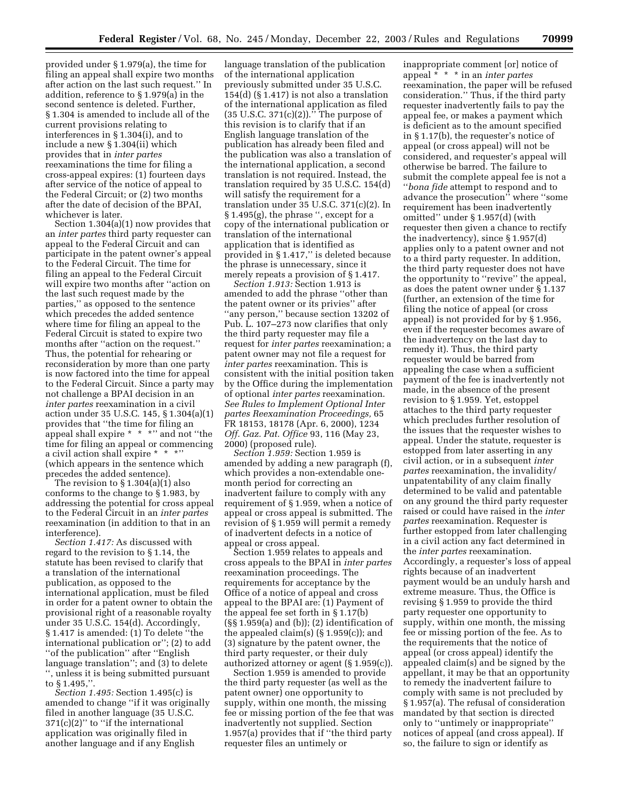provided under § 1.979(a), the time for filing an appeal shall expire two months after action on the last such request.'' In addition, reference to § 1.979(a) in the second sentence is deleted. Further, § 1.304 is amended to include all of the current provisions relating to interferences in § 1.304(i), and to include a new § 1.304(ii) which provides that in *inter partes*  reexaminations the time for filing a cross-appeal expires: (1) fourteen days after service of the notice of appeal to the Federal Circuit; or (2) two months after the date of decision of the BPAI, whichever is later.

Section 1.304(a)(1) now provides that an *inter partes* third party requester can appeal to the Federal Circuit and can participate in the patent owner's appeal to the Federal Circuit. The time for filing an appeal to the Federal Circuit will expire two months after ''action on the last such request made by the parties,'' as opposed to the sentence which precedes the added sentence where time for filing an appeal to the Federal Circuit is stated to expire two months after ''action on the request.'' Thus, the potential for rehearing or reconsideration by more than one party is now factored into the time for appeal to the Federal Circuit. Since a party may not challenge a BPAI decision in an *inter partes* reexamination in a civil action under 35 U.S.C. 145, § 1.304(a)(1) provides that ''the time for filing an appeal shall expire \* \* \*" and not "the time for filing an appeal or commencing a civil action shall expire \* \* \*'' (which appears in the sentence which precedes the added sentence).

The revision to § 1.304(a)(1) also conforms to the change to § 1.983, by addressing the potential for cross appeal to the Federal Circuit in an *inter partes*  reexamination (in addition to that in an interference).

*Section 1.417:* As discussed with regard to the revision to § 1.14, the statute has been revised to clarify that a translation of the international publication, as opposed to the international application, must be filed in order for a patent owner to obtain the provisional right of a reasonable royalty under 35 U.S.C. 154(d). Accordingly, § 1.417 is amended: (1) To delete ''the international publication or''; (2) to add ''of the publication'' after ''English language translation''; and (3) to delete '', unless it is being submitted pursuant to § 1.495,''.

*Section 1.495:* Section 1.495(c) is amended to change ''if it was originally filed in another language (35 U.S.C.  $371(c)(2)$ " to "if the international application was originally filed in another language and if any English

language translation of the publication of the international application previously submitted under 35 U.S.C. 154(d) (§ 1.417) is not also a translation of the international application as filed  $(35 \text{ U.S.C. } 371(c)(2))$ ." The purpose of this revision is to clarify that if an English language translation of the publication has already been filed and the publication was also a translation of the international application, a second translation is not required. Instead, the translation required by 35 U.S.C. 154(d) will satisfy the requirement for a translation under 35 U.S.C. 371(c)(2). In § 1.495(g), the phrase '', except for a copy of the international publication or translation of the international application that is identified as provided in § 1.417,'' is deleted because the phrase is unnecessary, since it merely repeats a provision of § 1.417.

*Section 1.913:* Section 1.913 is amended to add the phrase ''other than the patent owner or its privies'' after ''any person,'' because section 13202 of Pub. L. 107–273 now clarifies that only the third party requester may file a request for *inter partes* reexamination; a patent owner may not file a request for *inter partes* reexamination. This is consistent with the initial position taken by the Office during the implementation of optional *inter partes* reexamination. *See Rules to Implement Optional Inter partes Reexamination Proceedings,* 65 FR 18153, 18178 (Apr. 6, 2000), 1234 *Off. Gaz. Pat. Office* 93, 116 (May 23, 2000) (proposed rule).

*Section 1.959:* Section 1.959 is amended by adding a new paragraph (f), which provides a non-extendable onemonth period for correcting an inadvertent failure to comply with any requirement of § 1.959, when a notice of appeal or cross appeal is submitted. The revision of § 1.959 will permit a remedy of inadvertent defects in a notice of appeal or cross appeal.

Section 1.959 relates to appeals and cross appeals to the BPAI in *inter partes*  reexamination proceedings. The requirements for acceptance by the Office of a notice of appeal and cross appeal to the BPAI are: (1) Payment of the appeal fee set forth in § 1.17(b)  $(S\ S 1.959(a)$  and (b)); (2) identification of the appealed claim(s) (§ 1.959(c)); and (3) signature by the patent owner, the third party requester, or their duly authorized attorney or agent (§ 1.959(c)).

Section 1.959 is amended to provide the third party requester (as well as the patent owner) one opportunity to supply, within one month, the missing fee or missing portion of the fee that was inadvertently not supplied. Section 1.957(a) provides that if ''the third party requester files an untimely or

inappropriate comment [or] notice of appeal \* \* \* in an *inter partes*  reexamination, the paper will be refused consideration.'' Thus, if the third party requester inadvertently fails to pay the appeal fee, or makes a payment which is deficient as to the amount specified in § 1.17(b), the requester's notice of appeal (or cross appeal) will not be considered, and requester's appeal will otherwise be barred. The failure to submit the complete appeal fee is not a ''*bona fide* attempt to respond and to advance the prosecution'' where ''some requirement has been inadvertently omitted'' under § 1.957(d) (with requester then given a chance to rectify the inadvertency), since § 1.957(d) applies only to a patent owner and not to a third party requester. In addition, the third party requester does not have the opportunity to ''revive'' the appeal, as does the patent owner under § 1.137 (further, an extension of the time for filing the notice of appeal (or cross appeal) is not provided for by § 1.956, even if the requester becomes aware of the inadvertency on the last day to remedy it). Thus, the third party requester would be barred from appealing the case when a sufficient payment of the fee is inadvertently not made, in the absence of the present revision to § 1.959. Yet, estoppel attaches to the third party requester which precludes further resolution of the issues that the requester wishes to appeal. Under the statute, requester is estopped from later asserting in any civil action, or in a subsequent *inter partes* reexamination, the invalidity/ unpatentability of any claim finally determined to be valid and patentable on any ground the third party requester raised or could have raised in the *inter partes* reexamination. Requester is further estopped from later challenging in a civil action any fact determined in the *inter partes* reexamination. Accordingly, a requester's loss of appeal rights because of an inadvertent payment would be an unduly harsh and extreme measure. Thus, the Office is revising § 1.959 to provide the third party requester one opportunity to supply, within one month, the missing fee or missing portion of the fee. As to the requirements that the notice of appeal (or cross appeal) identify the appealed claim(s) and be signed by the appellant, it may be that an opportunity to remedy the inadvertent failure to comply with same is not precluded by § 1.957(a). The refusal of consideration mandated by that section is directed only to ''untimely or inappropriate'' notices of appeal (and cross appeal). If so, the failure to sign or identify as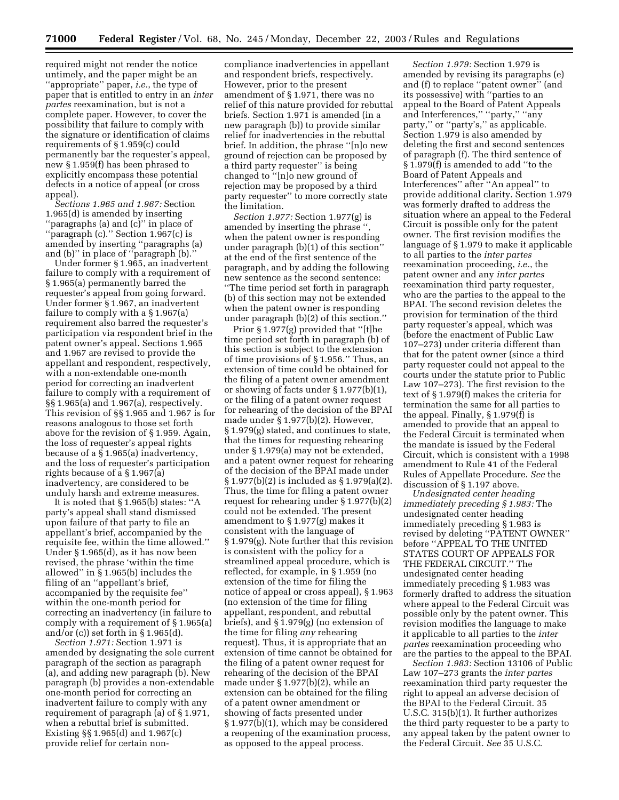required might not render the notice untimely, and the paper might be an ''appropriate'' paper, *i.e.*, the type of paper that is entitled to entry in an *inter partes* reexamination, but is not a complete paper. However, to cover the possibility that failure to comply with the signature or identification of claims requirements of § 1.959(c) could permanently bar the requester's appeal, new § 1.959(f) has been phrased to explicitly encompass these potential defects in a notice of appeal (or cross appeal).

*Sections 1.965 and 1.967:* Section 1.965(d) is amended by inserting ''paragraphs (a) and (c)'' in place of 'paragraph (c)." Section 1.967(c) is amended by inserting ''paragraphs (a) and (b)'' in place of ''paragraph (b).''

Under former § 1.965, an inadvertent failure to comply with a requirement of § 1.965(a) permanently barred the requester's appeal from going forward. Under former § 1.967, an inadvertent failure to comply with a § 1.967(a) requirement also barred the requester's participation via respondent brief in the patent owner's appeal. Sections 1.965 and 1.967 are revised to provide the appellant and respondent, respectively, with a non-extendable one-month period for correcting an inadvertent failure to comply with a requirement of §§ 1.965(a) and 1.967(a), respectively. This revision of §§ 1.965 and 1.967 is for reasons analogous to those set forth above for the revision of § 1.959. Again, the loss of requester's appeal rights because of a § 1.965(a) inadvertency, and the loss of requester's participation rights because of a § 1.967(a) inadvertency, are considered to be unduly harsh and extreme measures.

It is noted that § 1.965(b) states: ''A party's appeal shall stand dismissed upon failure of that party to file an appellant's brief, accompanied by the requisite fee, within the time allowed.'' Under § 1.965(d), as it has now been revised, the phrase 'within the time allowed'' in § 1.965(b) includes the filing of an ''appellant's brief, accompanied by the requisite fee'' within the one-month period for correcting an inadvertency (in failure to comply with a requirement of § 1.965(a) and/or (c)) set forth in § 1.965(d).

*Section 1.971:* Section 1.971 is amended by designating the sole current paragraph of the section as paragraph (a), and adding new paragraph (b). New paragraph (b) provides a non-extendable one-month period for correcting an inadvertent failure to comply with any requirement of paragraph (a) of § 1.971, when a rebuttal brief is submitted. Existing §§ 1.965(d) and 1.967(c) provide relief for certain non-

compliance inadvertencies in appellant and respondent briefs, respectively. However, prior to the present amendment of § 1.971, there was no relief of this nature provided for rebuttal briefs. Section 1.971 is amended (in a new paragraph (b)) to provide similar relief for inadvertencies in the rebuttal brief. In addition, the phrase ''[n]o new ground of rejection can be proposed by a third party requester'' is being changed to ''[n]o new ground of rejection may be proposed by a third party requester'' to more correctly state the limitation.

*Section 1.977:* Section 1.977(g) is amended by inserting the phrase " when the patent owner is responding under paragraph (b)(1) of this section'' at the end of the first sentence of the paragraph, and by adding the following new sentence as the second sentence: ''The time period set forth in paragraph (b) of this section may not be extended when the patent owner is responding under paragraph (b)(2) of this section.''

Prior § 1.977(g) provided that ''[t]he time period set forth in paragraph (b) of this section is subject to the extension of time provisions of § 1.956.'' Thus, an extension of time could be obtained for the filing of a patent owner amendment or showing of facts under § 1.977(b)(1), or the filing of a patent owner request for rehearing of the decision of the BPAI made under § 1.977(b)(2). However, § 1.979(g) stated, and continues to state, that the times for requesting rehearing under § 1.979(a) may not be extended, and a patent owner request for rehearing of the decision of the BPAI made under § 1.977(b)(2) is included as § 1.979(a)(2). Thus, the time for filing a patent owner request for rehearing under § 1.977(b)(2) could not be extended. The present amendment to § 1.977(g) makes it consistent with the language of § 1.979(g). Note further that this revision is consistent with the policy for a streamlined appeal procedure, which is reflected, for example, in § 1.959 (no extension of the time for filing the notice of appeal or cross appeal), § 1.963 (no extension of the time for filing appellant, respondent, and rebuttal briefs), and § 1.979(g) (no extension of the time for filing *any* rehearing request). Thus, it is appropriate that an extension of time cannot be obtained for the filing of a patent owner request for rehearing of the decision of the BPAI made under § 1.977(b)(2), while an extension can be obtained for the filing of a patent owner amendment or showing of facts presented under § 1.977(b)(1), which may be considered a reopening of the examination process, as opposed to the appeal process.

*Section 1.979:* Section 1.979 is amended by revising its paragraphs (e) and (f) to replace ''patent owner'' (and its possessive) with ''parties to an appeal to the Board of Patent Appeals and Interferences," "party," "any party," or "party's," as applicable. Section 1.979 is also amended by deleting the first and second sentences of paragraph (f). The third sentence of § 1.979(f) is amended to add ''to the Board of Patent Appeals and Interferences'' after ''An appeal'' to provide additional clarity. Section 1.979 was formerly drafted to address the situation where an appeal to the Federal Circuit is possible only for the patent owner. The first revision modifies the language of § 1.979 to make it applicable to all parties to the *inter partes*  reexamination proceeding, *i.e.*, the patent owner and any *inter partes*  reexamination third party requester, who are the parties to the appeal to the BPAI. The second revision deletes the provision for termination of the third party requester's appeal, which was (before the enactment of Public Law 107–273) under criteria different than that for the patent owner (since a third party requester could not appeal to the courts under the statute prior to Public Law 107–273). The first revision to the text of § 1.979(f) makes the criteria for termination the same for all parties to the appeal. Finally, § 1.979(f) is amended to provide that an appeal to the Federal Circuit is terminated when the mandate is issued by the Federal Circuit, which is consistent with a 1998 amendment to Rule 41 of the Federal Rules of Appellate Procedure. *See* the discussion of § 1.197 above.

*Undesignated center heading immediately preceding § 1.983:* The undesignated center heading immediately preceding § 1.983 is revised by deleting ''PATENT OWNER'' before ''APPEAL TO THE UNITED STATES COURT OF APPEALS FOR THE FEDERAL CIRCUIT.'' The undesignated center heading immediately preceding § 1.983 was formerly drafted to address the situation where appeal to the Federal Circuit was possible only by the patent owner. This revision modifies the language to make it applicable to all parties to the *inter partes* reexamination proceeding who are the parties to the appeal to the BPAI.

*Section 1.983:* Section 13106 of Public Law 107–273 grants the *inter partes*  reexamination third party requester the right to appeal an adverse decision of the BPAI to the Federal Circuit. 35 U.S.C. 315(b)(1). It further authorizes the third party requester to be a party to any appeal taken by the patent owner to the Federal Circuit. *See* 35 U.S.C.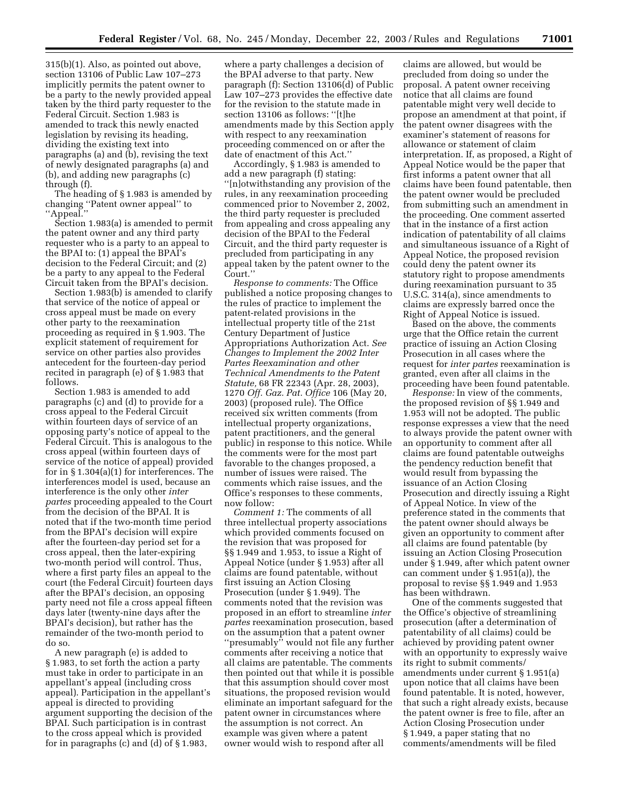315(b)(1). Also, as pointed out above, section 13106 of Public Law 107–273 implicitly permits the patent owner to be a party to the newly provided appeal taken by the third party requester to the Federal Circuit. Section 1.983 is amended to track this newly enacted legislation by revising its heading, dividing the existing text into paragraphs (a) and (b), revising the text of newly designated paragraphs (a) and (b), and adding new paragraphs (c) through (f).

The heading of § 1.983 is amended by changing ''Patent owner appeal'' to ''Appeal.''

Section 1.983(a) is amended to permit the patent owner and any third party requester who is a party to an appeal to the BPAI to: (1) appeal the BPAI's decision to the Federal Circuit; and (2) be a party to any appeal to the Federal Circuit taken from the BPAI's decision.

Section 1.983(b) is amended to clarify that service of the notice of appeal or cross appeal must be made on every other party to the reexamination proceeding as required in § 1.903. The explicit statement of requirement for service on other parties also provides antecedent for the fourteen-day period recited in paragraph (e) of § 1.983 that follows.

Section 1.983 is amended to add paragraphs (c) and (d) to provide for a cross appeal to the Federal Circuit within fourteen days of service of an opposing party's notice of appeal to the Federal Circuit. This is analogous to the cross appeal (within fourteen days of service of the notice of appeal) provided for in § 1.304(a)(1) for interferences. The interferences model is used, because an interference is the only other *inter partes* proceeding appealed to the Court from the decision of the BPAI. It is noted that if the two-month time period from the BPAI's decision will expire after the fourteen-day period set for a cross appeal, then the later-expiring two-month period will control. Thus, where a first party files an appeal to the court (the Federal Circuit) fourteen days after the BPAI's decision, an opposing party need not file a cross appeal fifteen days later (twenty-nine days after the BPAI's decision), but rather has the remainder of the two-month period to do so.

A new paragraph (e) is added to § 1.983, to set forth the action a party must take in order to participate in an appellant's appeal (including cross appeal). Participation in the appellant's appeal is directed to providing argument supporting the decision of the BPAI. Such participation is in contrast to the cross appeal which is provided for in paragraphs (c) and (d) of § 1.983,

where a party challenges a decision of the BPAI adverse to that party. New paragraph (f): Section 13106(d) of Public Law 107–273 provides the effective date for the revision to the statute made in section 13106 as follows: ''[t]he amendments made by this Section apply with respect to any reexamination proceeding commenced on or after the date of enactment of this Act.''

Accordingly, § 1.983 is amended to add a new paragraph (f) stating: ''[n]otwithstanding any provision of the rules, in any reexamination proceeding commenced prior to November 2, 2002, the third party requester is precluded from appealing and cross appealing any decision of the BPAI to the Federal Circuit, and the third party requester is precluded from participating in any appeal taken by the patent owner to the Court.''

*Response to comments:* The Office published a notice proposing changes to the rules of practice to implement the patent-related provisions in the intellectual property title of the 21st Century Department of Justice Appropriations Authorization Act. *See Changes to Implement the 2002 Inter Partes Reexamination and other Technical Amendments to the Patent Statute,* 68 FR 22343 (Apr. 28, 2003), 1270 *Off. Gaz. Pat. Office* 106 (May 20, 2003) (proposed rule). The Office received six written comments (from intellectual property organizations, patent practitioners, and the general public) in response to this notice. While the comments were for the most part favorable to the changes proposed, a number of issues were raised. The comments which raise issues, and the Office's responses to these comments, now follow:

*Comment 1:* The comments of all three intellectual property associations which provided comments focused on the revision that was proposed for §§ 1.949 and 1.953, to issue a Right of Appeal Notice (under § 1.953) after all claims are found patentable, without first issuing an Action Closing Prosecution (under § 1.949). The comments noted that the revision was proposed in an effort to streamline *inter partes* reexamination prosecution, based on the assumption that a patent owner ''presumably'' would not file any further comments after receiving a notice that all claims are patentable. The comments then pointed out that while it is possible that this assumption should cover most situations, the proposed revision would eliminate an important safeguard for the patent owner in circumstances where the assumption is not correct. An example was given where a patent owner would wish to respond after all

claims are allowed, but would be precluded from doing so under the proposal. A patent owner receiving notice that all claims are found patentable might very well decide to propose an amendment at that point, if the patent owner disagrees with the examiner's statement of reasons for allowance or statement of claim interpretation. If, as proposed, a Right of Appeal Notice would be the paper that first informs a patent owner that all claims have been found patentable, then the patent owner would be precluded from submitting such an amendment in the proceeding. One comment asserted that in the instance of a first action indication of patentability of all claims and simultaneous issuance of a Right of Appeal Notice, the proposed revision could deny the patent owner its statutory right to propose amendments during reexamination pursuant to 35 U.S.C. 314(a), since amendments to claims are expressly barred once the Right of Appeal Notice is issued.

Based on the above, the comments urge that the Office retain the current practice of issuing an Action Closing Prosecution in all cases where the request for *inter partes* reexamination is granted, even after all claims in the proceeding have been found patentable.

*Response:* In view of the comments, the proposed revision of §§ 1.949 and 1.953 will not be adopted. The public response expresses a view that the need to always provide the patent owner with an opportunity to comment after all claims are found patentable outweighs the pendency reduction benefit that would result from bypassing the issuance of an Action Closing Prosecution and directly issuing a Right of Appeal Notice. In view of the preference stated in the comments that the patent owner should always be given an opportunity to comment after all claims are found patentable (by issuing an Action Closing Prosecution under § 1.949, after which patent owner can comment under § 1.951(a)), the proposal to revise §§ 1.949 and 1.953 has been withdrawn.

One of the comments suggested that the Office's objective of streamlining prosecution (after a determination of patentability of all claims) could be achieved by providing patent owner with an opportunity to expressly waive its right to submit comments/ amendments under current § 1.951(a) upon notice that all claims have been found patentable. It is noted, however, that such a right already exists, because the patent owner is free to file, after an Action Closing Prosecution under § 1.949, a paper stating that no comments/amendments will be filed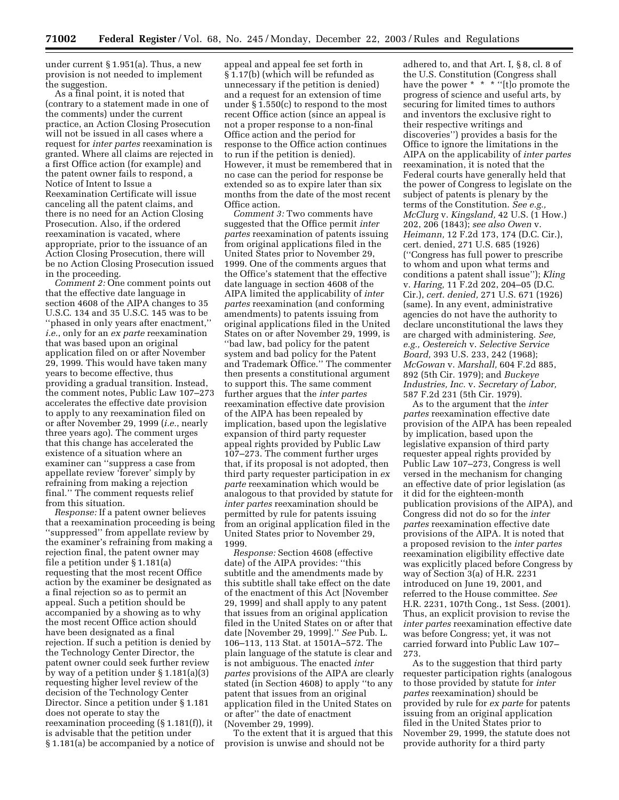under current § 1.951(a). Thus, a new provision is not needed to implement the suggestion.

As a final point, it is noted that (contrary to a statement made in one of the comments) under the current practice, an Action Closing Prosecution will not be issued in all cases where a request for *inter partes* reexamination is granted. Where all claims are rejected in a first Office action (for example) and the patent owner fails to respond, a Notice of Intent to Issue a Reexamination Certificate will issue canceling all the patent claims, and there is no need for an Action Closing Prosecution. Also, if the ordered reexamination is vacated, where appropriate, prior to the issuance of an Action Closing Prosecution, there will be no Action Closing Prosecution issued in the proceeding.

*Comment 2:* One comment points out that the effective date language in section 4608 of the AIPA changes to 35 U.S.C. 134 and 35 U.S.C. 145 was to be ''phased in only years after enactment,'' *i.e.*, only for an *ex parte* reexamination that was based upon an original application filed on or after November 29, 1999. This would have taken many years to become effective, thus providing a gradual transition. Instead, the comment notes, Public Law 107–273 accelerates the effective date provision to apply to any reexamination filed on or after November 29, 1999 (*i.e.*, nearly three years ago). The comment urges that this change has accelerated the existence of a situation where an examiner can ''suppress a case from appellate review 'forever' simply by refraining from making a rejection final.'' The comment requests relief from this situation.

*Response:* If a patent owner believes that a reexamination proceeding is being ''suppressed'' from appellate review by the examiner's refraining from making a rejection final, the patent owner may file a petition under § 1.181(a) requesting that the most recent Office action by the examiner be designated as a final rejection so as to permit an appeal. Such a petition should be accompanied by a showing as to why the most recent Office action should have been designated as a final rejection. If such a petition is denied by the Technology Center Director, the patent owner could seek further review by way of a petition under § 1.181(a)(3) requesting higher level review of the decision of the Technology Center Director. Since a petition under § 1.181 does not operate to stay the reexamination proceeding (§ 1.181(f)), it is advisable that the petition under § 1.181(a) be accompanied by a notice of

appeal and appeal fee set forth in § 1.17(b) (which will be refunded as unnecessary if the petition is denied) and a request for an extension of time under § 1.550(c) to respond to the most recent Office action (since an appeal is not a proper response to a non-final Office action and the period for response to the Office action continues to run if the petition is denied). However, it must be remembered that in no case can the period for response be extended so as to expire later than six months from the date of the most recent Office action.

*Comment 3:* Two comments have suggested that the Office permit *inter partes* reexamination of patents issuing from original applications filed in the United States prior to November 29, 1999. One of the comments argues that the Office's statement that the effective date language in section 4608 of the AIPA limited the applicability of *inter partes* reexamination (and conforming amendments) to patents issuing from original applications filed in the United States on or after November 29, 1999, is ''bad law, bad policy for the patent system and bad policy for the Patent and Trademark Office.'' The commenter then presents a constitutional argument to support this. The same comment further argues that the *inter partes*  reexamination effective date provision of the AIPA has been repealed by implication, based upon the legislative expansion of third party requester appeal rights provided by Public Law 107–273. The comment further urges that, if its proposal is not adopted, then third party requester participation in *ex parte* reexamination which would be analogous to that provided by statute for *inter partes* reexamination should be permitted by rule for patents issuing from an original application filed in the United States prior to November 29, 1999.

*Response:* Section 4608 (effective date) of the AIPA provides: ''this subtitle and the amendments made by this subtitle shall take effect on the date of the enactment of this Act [November 29, 1999] and shall apply to any patent that issues from an original application filed in the United States on or after that date [November 29, 1999].'' *See* Pub. L. 106–113, 113 Stat. at 1501A–572. The plain language of the statute is clear and is not ambiguous. The enacted *inter partes* provisions of the AIPA are clearly stated (in Section 4608) to apply ''to any patent that issues from an original application filed in the United States on or after'' the date of enactment (November 29, 1999).

To the extent that it is argued that this provision is unwise and should not be

adhered to, and that Art. I, § 8, cl. 8 of the U.S. Constitution (Congress shall have the power \* \* \* "[t]o promote the progress of science and useful arts, by securing for limited times to authors and inventors the exclusive right to their respective writings and discoveries'') provides a basis for the Office to ignore the limitations in the AIPA on the applicability of *inter partes*  reexamination, it is noted that the Federal courts have generally held that the power of Congress to legislate on the subject of patents is plenary by the terms of the Constitution. *See e.g., McClurg* v. *Kingsland,* 42 U.S. (1 How.) 202, 206 (1843); *see also Owen* v. *Heimann,* 12 F.2d 173, 174 (D.C. Cir.), cert. denied, 271 U.S. 685 (1926) (''Congress has full power to prescribe to whom and upon what terms and conditions a patent shall issue''); *Kling*  v. *Haring,* 11 F.2d 202, 204–05 (D.C. Cir.), *cert. denied,* 271 U.S. 671 (1926) (same). In any event, administrative agencies do not have the authority to declare unconstitutional the laws they are charged with administering. *See, e.g., Oestereich* v. *Selective Service Board,* 393 U.S. 233, 242 (1968); *McGowan* v. *Marshall,* 604 F.2d 885, 892 (5th Cir. 1979); and *Buckeye Industries, Inc.* v. *Secretary of Labor,*  587 F.2d 231 (5th Cir. 1979).

As to the argument that the *inter partes* reexamination effective date provision of the AIPA has been repealed by implication, based upon the legislative expansion of third party requester appeal rights provided by Public Law 107–273, Congress is well versed in the mechanism for changing an effective date of prior legislation (as it did for the eighteen-month publication provisions of the AIPA), and Congress did not do so for the *inter partes* reexamination effective date provisions of the AIPA. It is noted that a proposed revision to the *inter partes*  reexamination eligibility effective date was explicitly placed before Congress by way of Section 3(a) of H.R. 2231 introduced on June 19, 2001, and referred to the House committee. *See*  H.R. 2231, 107th Cong., 1st Sess. (2001). Thus, an explicit provision to revise the *inter partes* reexamination effective date was before Congress; yet, it was not carried forward into Public Law 107– 273.

As to the suggestion that third party requester participation rights (analogous to those provided by statute for *inter partes* reexamination) should be provided by rule for *ex parte* for patents issuing from an original application filed in the United States prior to November 29, 1999, the statute does not provide authority for a third party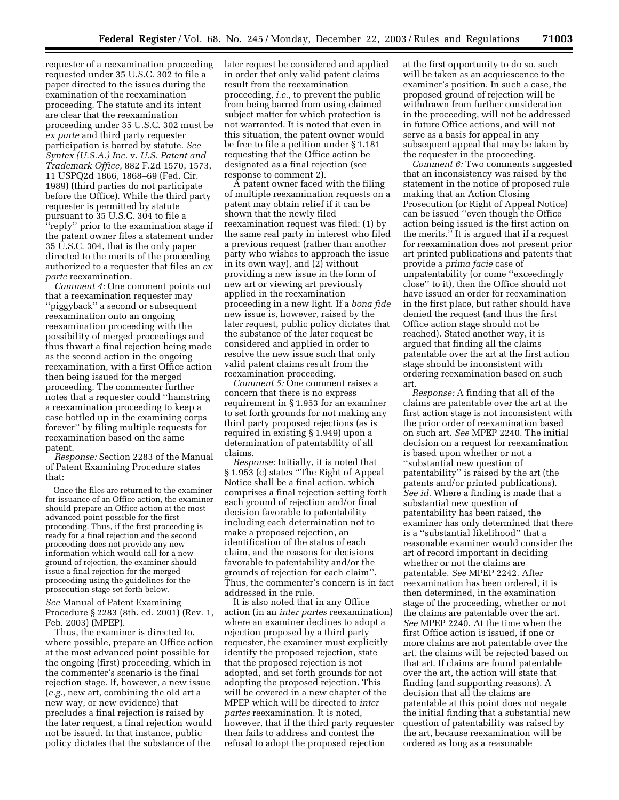requester of a reexamination proceeding requested under 35 U.S.C. 302 to file a paper directed to the issues during the examination of the reexamination proceeding. The statute and its intent are clear that the reexamination proceeding under 35 U.S.C. 302 must be *ex parte* and third party requester participation is barred by statute. *See Syntex (U.S.A.) Inc.* v. *U.S. Patent and Trademark Office,* 882 F.2d 1570, 1573, 11 USPQ2d 1866, 1868–69 (Fed. Cir. 1989) (third parties do not participate before the Office). While the third party requester is permitted by statute pursuant to 35 U.S.C. 304 to file a ''reply'' prior to the examination stage if the patent owner files a statement under 35 U.S.C. 304, that is the only paper directed to the merits of the proceeding authorized to a requester that files an *ex parte* reexamination.

*Comment 4:* One comment points out that a reexamination requester may ''piggyback'' a second or subsequent reexamination onto an ongoing reexamination proceeding with the possibility of merged proceedings and thus thwart a final rejection being made as the second action in the ongoing reexamination, with a first Office action then being issued for the merged proceeding. The commenter further notes that a requester could ''hamstring a reexamination proceeding to keep a case bottled up in the examining corps forever'' by filing multiple requests for reexamination based on the same patent.

*Response:* Section 2283 of the Manual of Patent Examining Procedure states that:

Once the files are returned to the examiner for issuance of an Office action, the examiner should prepare an Office action at the most advanced point possible for the first proceeding. Thus, if the first proceeding is ready for a final rejection and the second proceeding does not provide any new information which would call for a new ground of rejection, the examiner should issue a final rejection for the merged proceeding using the guidelines for the prosecution stage set forth below.

*See* Manual of Patent Examining Procedure § 2283 (8th. ed. 2001) (Rev. 1, Feb. 2003) (MPEP).

Thus, the examiner is directed to, where possible, prepare an Office action at the most advanced point possible for the ongoing (first) proceeding, which in the commenter's scenario is the final rejection stage. If, however, a new issue (*e.g.*, new art, combining the old art a new way, or new evidence) that precludes a final rejection is raised by the later request, a final rejection would not be issued. In that instance, public policy dictates that the substance of the

later request be considered and applied in order that only valid patent claims result from the reexamination proceeding, *i.e.*, to prevent the public from being barred from using claimed subject matter for which protection is not warranted. It is noted that even in this situation, the patent owner would be free to file a petition under § 1.181 requesting that the Office action be designated as a final rejection (see response to comment 2).

A patent owner faced with the filing of multiple reexamination requests on a patent may obtain relief if it can be shown that the newly filed reexamination request was filed: (1) by the same real party in interest who filed a previous request (rather than another party who wishes to approach the issue in its own way), and (2) without providing a new issue in the form of new art or viewing art previously applied in the reexamination proceeding in a new light. If a *bona fide*  new issue is, however, raised by the later request, public policy dictates that the substance of the later request be considered and applied in order to resolve the new issue such that only valid patent claims result from the reexamination proceeding.

*Comment 5:* One comment raises a concern that there is no express requirement in § 1.953 for an examiner to set forth grounds for not making any third party proposed rejections (as is required in existing § 1.949) upon a determination of patentability of all claims.

*Response:* Initially, it is noted that § 1.953 (c) states ''The Right of Appeal Notice shall be a final action, which comprises a final rejection setting forth each ground of rejection and/or final decision favorable to patentability including each determination not to make a proposed rejection, an identification of the status of each claim, and the reasons for decisions favorable to patentability and/or the grounds of rejection for each claim''. Thus, the commenter's concern is in fact addressed in the rule.

It is also noted that in any Office action (in an *inter partes* reexamination) where an examiner declines to adopt a rejection proposed by a third party requester, the examiner must explicitly identify the proposed rejection, state that the proposed rejection is not adopted, and set forth grounds for not adopting the proposed rejection. This will be covered in a new chapter of the MPEP which will be directed to *inter partes* reexamination. It is noted, however, that if the third party requester then fails to address and contest the refusal to adopt the proposed rejection

at the first opportunity to do so, such will be taken as an acquiescence to the examiner's position. In such a case, the proposed ground of rejection will be withdrawn from further consideration in the proceeding, will not be addressed in future Office actions, and will not serve as a basis for appeal in any subsequent appeal that may be taken by the requester in the proceeding.

*Comment 6:* Two comments suggested that an inconsistency was raised by the statement in the notice of proposed rule making that an Action Closing Prosecution (or Right of Appeal Notice) can be issued ''even though the Office action being issued is the first action on the merits.'' It is argued that if a request for reexamination does not present prior art printed publications and patents that provide a *prima facie* case of unpatentability (or come ''exceedingly close'' to it), then the Office should not have issued an order for reexamination in the first place, but rather should have denied the request (and thus the first Office action stage should not be reached). Stated another way, it is argued that finding all the claims patentable over the art at the first action stage should be inconsistent with ordering reexamination based on such art.

*Response:* A finding that all of the claims are patentable over the art at the first action stage is not inconsistent with the prior order of reexamination based on such art. *See* MPEP 2240. The initial decision on a request for reexamination is based upon whether or not a ''substantial new question of patentability'' is raised by the art (the patents and/or printed publications). *See id.* Where a finding is made that a substantial new question of patentability has been raised, the examiner has only determined that there is a ''substantial likelihood'' that a reasonable examiner would consider the art of record important in deciding whether or not the claims are patentable. *See* MPEP 2242. After reexamination has been ordered, it is then determined, in the examination stage of the proceeding, whether or not the claims are patentable over the art. *See* MPEP 2240. At the time when the first Office action is issued, if one or more claims are not patentable over the art, the claims will be rejected based on that art. If claims are found patentable over the art, the action will state that finding (and supporting reasons). A decision that all the claims are patentable at this point does not negate the initial finding that a substantial new question of patentability was raised by the art, because reexamination will be ordered as long as a reasonable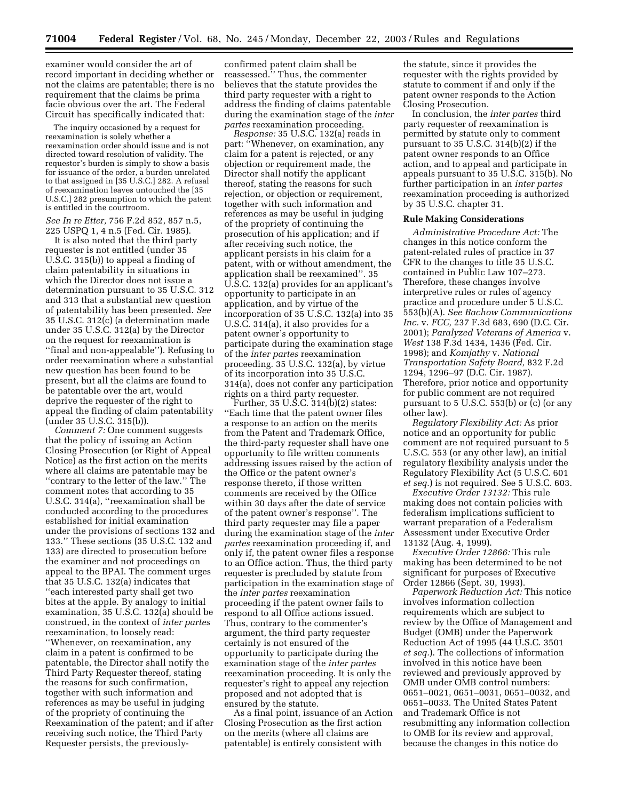examiner would consider the art of record important in deciding whether or not the claims are patentable; there is no requirement that the claims be prima facie obvious over the art. The Federal Circuit has specifically indicated that:

The inquiry occasioned by a request for reexamination is solely whether a reexamination order should issue and is not directed toward resolution of validity. The requestor's burden is simply to show a basis for issuance of the order, a burden unrelated to that assigned in [35 U.S.C.] 282. A refusal of reexamination leaves untouched the [35 U.S.C.] 282 presumption to which the patent is entitled in the courtroom.

*See In re Etter,* 756 F.2d 852, 857 n.5, 225 USPQ 1, 4 n.5 (Fed. Cir. 1985).

It is also noted that the third party requester is not entitled (under 35 U.S.C. 315(b)) to appeal a finding of claim patentability in situations in which the Director does not issue a determination pursuant to 35 U.S.C. 312 and 313 that a substantial new question of patentability has been presented. *See*  35 U.S.C. 312(c) (a determination made under 35 U.S.C. 312(a) by the Director on the request for reexamination is ''final and non-appealable''). Refusing to order reexamination where a substantial new question has been found to be present, but all the claims are found to be patentable over the art, would deprive the requester of the right to appeal the finding of claim patentability (under 35 U.S.C. 315(b)).

*Comment 7:* One comment suggests that the policy of issuing an Action Closing Prosecution (or Right of Appeal Notice) as the first action on the merits where all claims are patentable may be ''contrary to the letter of the law.'' The comment notes that according to 35 U.S.C. 314(a), ''reexamination shall be conducted according to the procedures established for initial examination under the provisions of sections 132 and 133.'' These sections (35 U.S.C. 132 and 133) are directed to prosecution before the examiner and not proceedings on appeal to the BPAI. The comment urges that 35 U.S.C. 132(a) indicates that ''each interested party shall get two bites at the apple. By analogy to initial examination, 35 U.S.C. 132(a) should be construed, in the context of *inter partes*  reexamination, to loosely read:

''Whenever, on reexamination, any claim in a patent is confirmed to be patentable, the Director shall notify the Third Party Requester thereof, stating the reasons for such confirmation, together with such information and references as may be useful in judging of the propriety of continuing the Reexamination of the patent; and if after receiving such notice, the Third Party Requester persists, the previouslyconfirmed patent claim shall be reassessed.'' Thus, the commenter believes that the statute provides the third party requester with a right to address the finding of claims patentable during the examination stage of the *inter partes* reexamination proceeding.

*Response:* 35 U.S.C. 132(a) reads in part: ''Whenever, on examination, any claim for a patent is rejected, or any objection or requirement made, the Director shall notify the applicant thereof, stating the reasons for such rejection, or objection or requirement, together with such information and references as may be useful in judging of the propriety of continuing the prosecution of his application; and if after receiving such notice, the applicant persists in his claim for a patent, with or without amendment, the application shall be reexamined''. 35 U.S.C. 132(a) provides for an applicant's opportunity to participate in an application, and by virtue of the incorporation of 35 U.S.C. 132(a) into 35 U.S.C. 314(a), it also provides for a patent owner's opportunity to participate during the examination stage of the *inter partes* reexamination proceeding. 35 U.S.C. 132(a), by virtue of its incorporation into 35 U.S.C. 314(a), does not confer any participation rights on a third party requester.

Further, 35 U.S.C. 314(b)(2) states: ''Each time that the patent owner files a response to an action on the merits from the Patent and Trademark Office, the third-party requester shall have one opportunity to file written comments addressing issues raised by the action of the Office or the patent owner's response thereto, if those written comments are received by the Office within 30 days after the date of service of the patent owner's response''. The third party requester may file a paper during the examination stage of the *inter partes* reexamination proceeding if, and only if, the patent owner files a response to an Office action. Thus, the third party requester is precluded by statute from participation in the examination stage of the *inter partes* reexamination proceeding if the patent owner fails to respond to all Office actions issued. Thus, contrary to the commenter's argument, the third party requester certainly is not ensured of the opportunity to participate during the examination stage of the *inter partes*  reexamination proceeding. It is only the requester's right to appeal any rejection proposed and not adopted that is ensured by the statute.

As a final point, issuance of an Action Closing Prosecution as the first action on the merits (where all claims are patentable) is entirely consistent with

the statute, since it provides the requester with the rights provided by statute to comment if and only if the patent owner responds to the Action Closing Prosecution.

In conclusion, the *inter partes* third party requester of reexamination is permitted by statute only to comment pursuant to 35 U.S.C. 314(b)(2) if the patent owner responds to an Office action, and to appeal and participate in appeals pursuant to 35 U.S.C. 315(b). No further participation in an *inter partes*  reexamination proceeding is authorized by 35 U.S.C. chapter 31.

#### **Rule Making Considerations**

*Administrative Procedure Act:* The changes in this notice conform the patent-related rules of practice in 37 CFR to the changes to title 35 U.S.C. contained in Public Law 107–273. Therefore, these changes involve interpretive rules or rules of agency practice and procedure under 5 U.S.C. 553(b)(A). *See Bachow Communications Inc.* v. *FCC,* 237 F.3d 683, 690 (D.C. Cir. 2001); *Paralyzed Veterans of America* v. *West* 138 F.3d 1434, 1436 (Fed. Cir. 1998); and *Komjathy* v. *National Transportation Safety Board,* 832 F.2d 1294, 1296–97 (D.C. Cir. 1987). Therefore, prior notice and opportunity for public comment are not required pursuant to 5 U.S.C. 553(b) or (c) (or any other law).

*Regulatory Flexibility Act:* As prior notice and an opportunity for public comment are not required pursuant to 5 U.S.C. 553 (or any other law), an initial regulatory flexibility analysis under the Regulatory Flexibility Act (5 U.S.C. 601 *et seq.*) is not required. See 5 U.S.C. 603.

*Executive Order 13132:* This rule making does not contain policies with federalism implications sufficient to warrant preparation of a Federalism Assessment under Executive Order 13132 (Aug. 4, 1999).

*Executive Order 12866:* This rule making has been determined to be not significant for purposes of Executive Order 12866 (Sept. 30, 1993).

*Paperwork Reduction Act:* This notice involves information collection requirements which are subject to review by the Office of Management and Budget (OMB) under the Paperwork Reduction Act of 1995 (44 U.S.C. 3501 *et seq.*). The collections of information involved in this notice have been reviewed and previously approved by OMB under OMB control numbers: 0651–0021, 0651–0031, 0651–0032, and 0651–0033. The United States Patent and Trademark Office is not resubmitting any information collection to OMB for its review and approval, because the changes in this notice do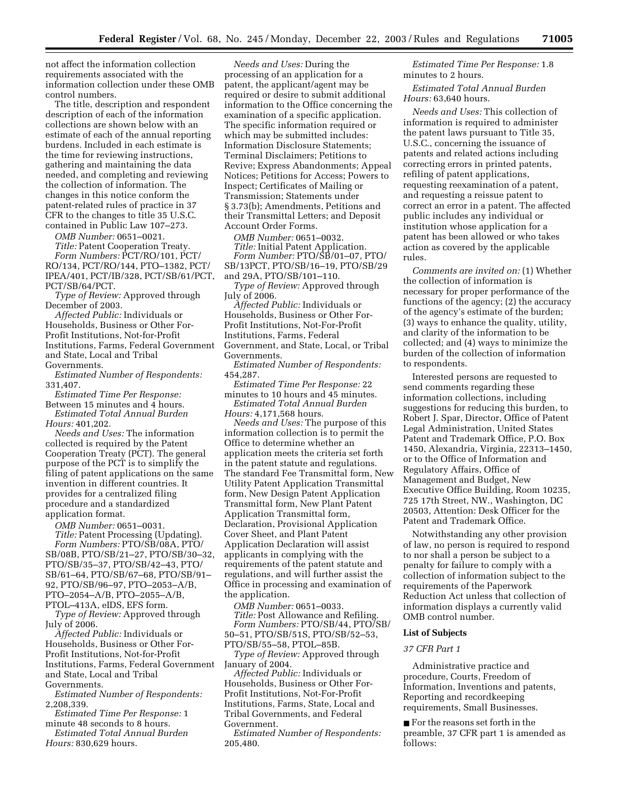not affect the information collection requirements associated with the information collection under these OMB control numbers.

The title, description and respondent description of each of the information collections are shown below with an estimate of each of the annual reporting burdens. Included in each estimate is the time for reviewing instructions, gathering and maintaining the data needed, and completing and reviewing the collection of information. The changes in this notice conform the patent-related rules of practice in 37 CFR to the changes to title 35 U.S.C. contained in Public Law 107–273.

*OMB Number:* 0651–0021.

*Title:* Patent Cooperation Treaty. *Form Numbers: PCT/RO/101, PCT/* RO/134, PCT/RO/144, PTO–1382, PCT/ IPEA/401, PCT/IB/328, PCT/SB/61/PCT, PCT/SB/64/PCT.

*Type of Review:* Approved through December of 2003.

*Affected Public:* Individuals or Households, Business or Other For-Profit Institutions, Not-for-Profit Institutions, Farms, Federal Government and State, Local and Tribal Governments.

*Estimated Number of Respondents:*  331,407.

*Estimated Time Per Response:*  Between 15 minutes and 4 hours.

*Estimated Total Annual Burden Hours:* 401,202.

*Needs and Uses:* The information collected is required by the Patent Cooperation Treaty (PCT). The general purpose of the PCT is to simplify the filing of patent applications on the same invention in different countries. It provides for a centralized filing procedure and a standardized application format.

*OMB Number:* 0651–0031.

*Title:* Patent Processing (Updating). *Form Numbers:* PTO/SB/08A, PTO/ SB/08B, PTO/SB/21–27, PTO/SB/30–32, PTO/SB/35–37, PTO/SB/42–43, PTO/ SB/61–64, PTO/SB/67–68, PTO/SB/91– 92, PTO/SB/96–97, PTO–2053–A/B, PTO–2054–A/B, PTO–2055–A/B,

PTOL–413A, eIDS, EFS form. *Type of Review:* Approved through July of 2006.

*Affected Public:* Individuals or Households, Business or Other For-Profit Institutions, Not-for-Profit Institutions, Farms, Federal Government and State, Local and Tribal Governments.

*Estimated Number of Respondents:*  2,208,339.

*Estimated Time Per Response:* 1 minute 48 seconds to 8 hours.

*Estimated Total Annual Burden Hours:* 830,629 hours.

*Needs and Uses:* During the processing of an application for a patent, the applicant/agent may be required or desire to submit additional information to the Office concerning the examination of a specific application. The specific information required or which may be submitted includes: Information Disclosure Statements; Terminal Disclaimers; Petitions to Revive; Express Abandonments; Appeal Notices; Petitions for Access; Powers to Inspect; Certificates of Mailing or Transmission; Statements under § 3.73(b); Amendments, Petitions and their Transmittal Letters; and Deposit Account Order Forms.

*OMB Number:* 0651–0032.

*Title:* Initial Patent Application. *Form Number:* PTO/SB/01–07, PTO/ SB/13PCT, PTO/SB/16–19, PTO/SB/29 and 29A, PTO/SB/101–110.

*Type of Review:* Approved through July of 2006.

*Affected Public:* Individuals or Households, Business or Other For-Profit Institutions, Not-For-Profit Institutions, Farms, Federal Government, and State, Local, or Tribal Governments.

*Estimated Number of Respondents:*  454,287.

*Estimated Time Per Response:* 22 minutes to 10 hours and 45 minutes. *Estimated Total Annual Burden Hours:* 4,171,568 hours.

*Needs and Uses:* The purpose of this information collection is to permit the Office to determine whether an application meets the criteria set forth in the patent statute and regulations. The standard Fee Transmittal form, New Utility Patent Application Transmittal form, New Design Patent Application Transmittal form, New Plant Patent Application Transmittal form, Declaration, Provisional Application Cover Sheet, and Plant Patent Application Declaration will assist applicants in complying with the requirements of the patent statute and regulations, and will further assist the Office in processing and examination of the application.

*OMB Number:* 0651–0033. *Title:* Post Allowance and Refiling. *Form Numbers:* PTO/SB/44, PTO/SB/ 50–51, PTO/SB/51S, PTO/SB/52–53, PTO/SB/55–58, PTOL–85B.

*Type of Review:* Approved through January of 2004.

*Affected Public:* Individuals or Households, Business or Other For-Profit Institutions, Not-For-Profit Institutions, Farms, State, Local and Tribal Governments, and Federal Government.

*Estimated Number of Respondents:*  205,480.

*Estimated Time Per Response:* 1.8 minutes to 2 hours.

*Estimated Total Annual Burden Hours:* 63,640 hours.

*Needs and Uses:* This collection of information is required to administer the patent laws pursuant to Title 35, U.S.C., concerning the issuance of patents and related actions including correcting errors in printed patents, refiling of patent applications, requesting reexamination of a patent, and requesting a reissue patent to correct an error in a patent. The affected public includes any individual or institution whose application for a patent has been allowed or who takes action as covered by the applicable rules.

*Comments are invited on:* (1) Whether the collection of information is necessary for proper performance of the functions of the agency; (2) the accuracy of the agency's estimate of the burden; (3) ways to enhance the quality, utility, and clarity of the information to be collected; and (4) ways to minimize the burden of the collection of information to respondents.

Interested persons are requested to send comments regarding these information collections, including suggestions for reducing this burden, to Robert J. Spar, Director, Office of Patent Legal Administration, United States Patent and Trademark Office, P.O. Box 1450, Alexandria, Virginia, 22313–1450, or to the Office of Information and Regulatory Affairs, Office of Management and Budget, New Executive Office Building, Room 10235, 725 17th Street, NW., Washington, DC 20503, Attention: Desk Officer for the Patent and Trademark Office.

Notwithstanding any other provision of law, no person is required to respond to nor shall a person be subject to a penalty for failure to comply with a collection of information subject to the requirements of the Paperwork Reduction Act unless that collection of information displays a currently valid OMB control number.

# **List of Subjects**

# *37 CFR Part 1*

Administrative practice and procedure, Courts, Freedom of Information, Inventions and patents, Reporting and recordkeeping requirements, Small Businesses.

■ For the reasons set forth in the preamble, 37 CFR part 1 is amended as follows: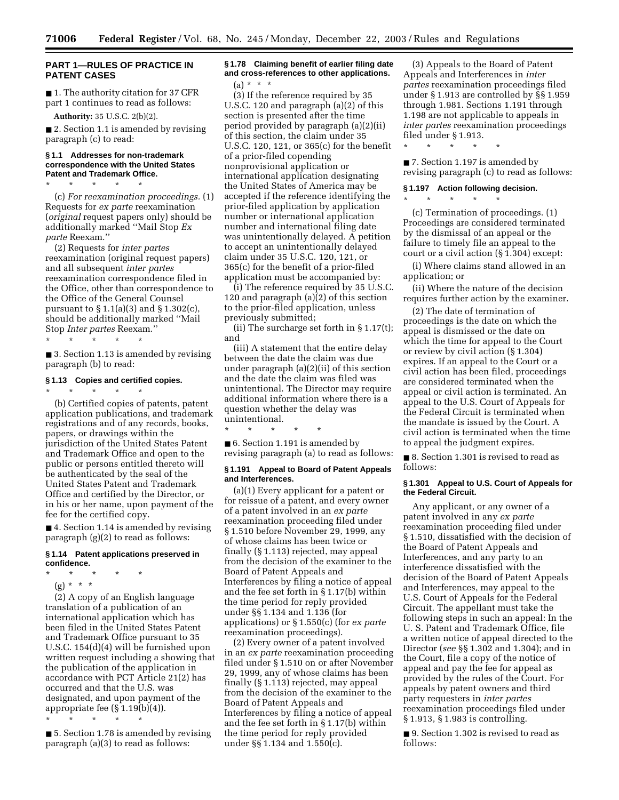# **PART 1—RULES OF PRACTICE IN PATENT CASES**

■ 1. The authority citation for 37 CFR part 1 continues to read as follows:

**Authority:** 35 U.S.C. 2(b)(2).

\* \* \* \* \*

■ 2. Section 1.1 is amended by revising paragraph (c) to read:

# **§ 1.1 Addresses for non-trademark correspondence with the United States Patent and Trademark Office.**

(c) *For reexamination proceedings.* (1) Requests for *ex parte* reexamination (*original* request papers only) should be additionally marked ''Mail Stop *Ex parte* Reexam.''

(2) Requests for *inter partes*  reexamination (original request papers) and all subsequent *inter partes*  reexamination correspondence filed in the Office, other than correspondence to the Office of the General Counsel pursuant to § 1.1(a)(3) and § 1.302(c), should be additionally marked ''Mail Stop *Inter partes* Reexam.''

\* \* \* \* \*

■ 3. Section 1.13 is amended by revising paragraph (b) to read:

#### **§ 1.13 Copies and certified copies.**

\* \* \* \* \*

(b) Certified copies of patents, patent application publications, and trademark registrations and of any records, books, papers, or drawings within the jurisdiction of the United States Patent and Trademark Office and open to the public or persons entitled thereto will be authenticated by the seal of the United States Patent and Trademark Office and certified by the Director, or in his or her name, upon payment of the fee for the certified copy.

■ 4. Section 1.14 is amended by revising paragraph (g)(2) to read as follows:

#### **§ 1.14 Patent applications preserved in confidence.**

- \* \* \* \* \*
	- (g) \* \* \*

(2) A copy of an English language translation of a publication of an international application which has been filed in the United States Patent and Trademark Office pursuant to 35 U.S.C. 154(d)(4) will be furnished upon written request including a showing that the publication of the application in accordance with PCT Article 21(2) has occurred and that the U.S. was designated, and upon payment of the appropriate fee (§ 1.19(b)(4)).

\* \* \* \* \*

■ 5. Section 1.78 is amended by revising paragraph (a)(3) to read as follows:

# **§ 1.78 Claiming benefit of earlier filing date and cross-references to other applications.**   $(a) * * * *$

(3) If the reference required by 35 U.S.C. 120 and paragraph (a)(2) of this section is presented after the time period provided by paragraph (a)(2)(ii) of this section, the claim under 35 U.S.C. 120, 121, or 365(c) for the benefit of a prior-filed copending nonprovisional application or international application designating the United States of America may be accepted if the reference identifying the prior-filed application by application number or international application number and international filing date was unintentionally delayed. A petition to accept an unintentionally delayed claim under 35 U.S.C. 120, 121, or 365(c) for the benefit of a prior-filed application must be accompanied by:

(i) The reference required by 35 U.S.C. 120 and paragraph (a)(2) of this section to the prior-filed application, unless previously submitted;

(ii) The surcharge set forth in § 1.17(t); and

(iii) A statement that the entire delay between the date the claim was due under paragraph (a)(2)(ii) of this section and the date the claim was filed was unintentional. The Director may require additional information where there is a question whether the delay was unintentional.

\* \* \* \* \* ■ 6. Section 1.191 is amended by revising paragraph (a) to read as follows:

#### **§ 1.191 Appeal to Board of Patent Appeals and Interferences.**

(a)(1) Every applicant for a patent or for reissue of a patent, and every owner of a patent involved in an *ex parte*  reexamination proceeding filed under § 1.510 before November 29, 1999, any of whose claims has been twice or finally (§ 1.113) rejected, may appeal from the decision of the examiner to the Board of Patent Appeals and Interferences by filing a notice of appeal and the fee set forth in § 1.17(b) within the time period for reply provided under §§ 1.134 and 1.136 (for applications) or § 1.550(c) (for *ex parte*  reexamination proceedings).

(2) Every owner of a patent involved in an *ex parte* reexamination proceeding filed under § 1.510 on or after November 29, 1999, any of whose claims has been finally (§ 1.113) rejected, may appeal from the decision of the examiner to the Board of Patent Appeals and Interferences by filing a notice of appeal and the fee set forth in § 1.17(b) within the time period for reply provided under §§ 1.134 and 1.550(c).

(3) Appeals to the Board of Patent Appeals and Interferences in *inter partes* reexamination proceedings filed under § 1.913 are controlled by §§ 1.959 through 1.981. Sections 1.191 through 1.198 are not applicable to appeals in *inter partes* reexamination proceedings filed under § 1.913.

\* \* \* \* \*

\* \* \* \* \*

■ 7. Section 1.197 is amended by revising paragraph (c) to read as follows:

### **§ 1.197 Action following decision.**

(c) Termination of proceedings. (1) Proceedings are considered terminated by the dismissal of an appeal or the failure to timely file an appeal to the court or a civil action (§ 1.304) except:

(i) Where claims stand allowed in an application; or

(ii) Where the nature of the decision requires further action by the examiner.

(2) The date of termination of proceedings is the date on which the appeal is dismissed or the date on which the time for appeal to the Court or review by civil action (§ 1.304) expires. If an appeal to the Court or a civil action has been filed, proceedings are considered terminated when the appeal or civil action is terminated. An appeal to the U.S. Court of Appeals for the Federal Circuit is terminated when the mandate is issued by the Court. A civil action is terminated when the time to appeal the judgment expires.

■ 8. Section 1.301 is revised to read as follows:

#### **§ 1.301 Appeal to U.S. Court of Appeals for the Federal Circuit.**

Any applicant, or any owner of a patent involved in any *ex parte*  reexamination proceeding filed under § 1.510, dissatisfied with the decision of the Board of Patent Appeals and Interferences, and any party to an interference dissatisfied with the decision of the Board of Patent Appeals and Interferences, may appeal to the U.S. Court of Appeals for the Federal Circuit. The appellant must take the following steps in such an appeal: In the U. S. Patent and Trademark Office, file a written notice of appeal directed to the Director (*see* §§ 1.302 and 1.304); and in the Court, file a copy of the notice of appeal and pay the fee for appeal as provided by the rules of the Court. For appeals by patent owners and third party requesters in *inter partes*  reexamination proceedings filed under § 1.913, § 1.983 is controlling.

■ 9. Section 1.302 is revised to read as follows: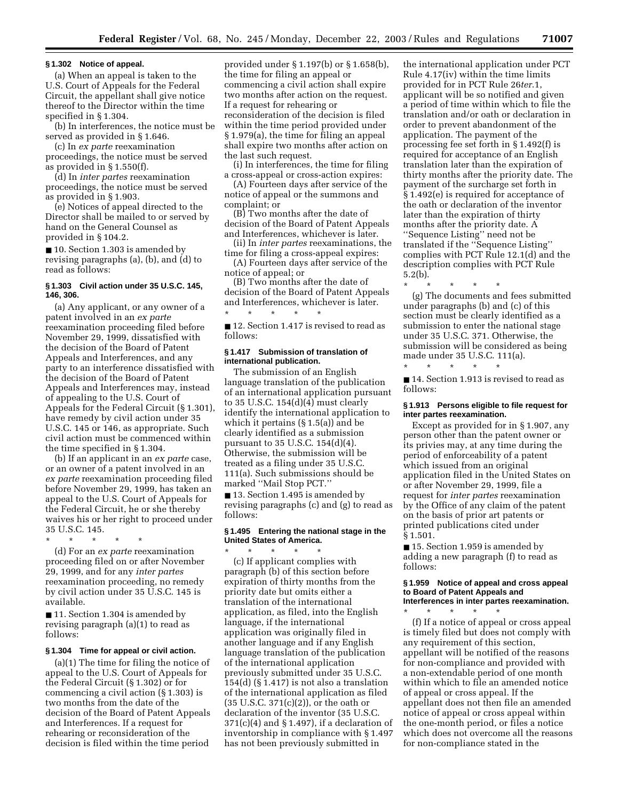#### **§ 1.302 Notice of appeal.**

(a) When an appeal is taken to the U.S. Court of Appeals for the Federal Circuit, the appellant shall give notice thereof to the Director within the time specified in § 1.304.

(b) In interferences, the notice must be served as provided in § 1.646.

(c) In *ex parte* reexamination proceedings, the notice must be served as provided in § 1.550(f).

(d) In *inter partes* reexamination proceedings, the notice must be served as provided in § 1.903.

(e) Notices of appeal directed to the Director shall be mailed to or served by hand on the General Counsel as provided in § 104.2.

■ 10. Section 1.303 is amended by revising paragraphs (a), (b), and (d) to read as follows:

## **§ 1.303 Civil action under 35 U.S.C. 145, 146, 306.**

(a) Any applicant, or any owner of a patent involved in an *ex parte*  reexamination proceeding filed before November 29, 1999, dissatisfied with the decision of the Board of Patent Appeals and Interferences, and any party to an interference dissatisfied with the decision of the Board of Patent Appeals and Interferences may, instead of appealing to the U.S. Court of Appeals for the Federal Circuit (§ 1.301), have remedy by civil action under 35 U.S.C. 145 or 146, as appropriate. Such civil action must be commenced within the time specified in § 1.304.

(b) If an applicant in an *ex parte* case, or an owner of a patent involved in an *ex parte* reexamination proceeding filed before November 29, 1999, has taken an appeal to the U.S. Court of Appeals for the Federal Circuit, he or she thereby waives his or her right to proceed under 35 U.S.C. 145.

\* \* \* \* \*

(d) For an *ex parte* reexamination proceeding filed on or after November 29, 1999, and for any *inter partes*  reexamination proceeding, no remedy by civil action under 35 U.S.C. 145 is available.

■ 11. Section 1.304 is amended by revising paragraph (a)(1) to read as follows:

#### **§ 1.304 Time for appeal or civil action.**

(a)(1) The time for filing the notice of appeal to the U.S. Court of Appeals for the Federal Circuit (§ 1.302) or for commencing a civil action (§ 1.303) is two months from the date of the decision of the Board of Patent Appeals and Interferences. If a request for rehearing or reconsideration of the decision is filed within the time period

provided under § 1.197(b) or § 1.658(b), the time for filing an appeal or commencing a civil action shall expire two months after action on the request. If a request for rehearing or reconsideration of the decision is filed within the time period provided under § 1.979(a), the time for filing an appeal shall expire two months after action on the last such request.

(i) In interferences, the time for filing a cross-appeal or cross-action expires:

(A) Fourteen days after service of the notice of appeal or the summons and complaint; or

(B) Two months after the date of decision of the Board of Patent Appeals and Interferences, whichever is later.

(ii) In *inter partes* reexaminations, the time for filing a cross-appeal expires:

(A) Fourteen days after service of the notice of appeal; or

(B) Two months after the date of decision of the Board of Patent Appeals and Interferences, whichever is later. \* \* \* \* \*

■ 12. Section 1.417 is revised to read as follows:

#### **§ 1.417 Submission of translation of international publication.**

The submission of an English language translation of the publication of an international application pursuant to 35 U.S.C. 154(d)(4) must clearly identify the international application to which it pertains (§ 1.5(a)) and be clearly identified as a submission pursuant to 35 U.S.C. 154(d)(4). Otherwise, the submission will be treated as a filing under 35 U.S.C. 111(a). Such submissions should be marked ''Mail Stop PCT.''

■ 13. Section 1.495 is amended by revising paragraphs (c) and (g) to read as follows:

#### **§ 1.495 Entering the national stage in the United States of America.**  \* \* \* \* \*

(c) If applicant complies with paragraph (b) of this section before expiration of thirty months from the priority date but omits either a translation of the international application, as filed, into the English language, if the international application was originally filed in another language and if any English language translation of the publication of the international application previously submitted under 35 U.S.C. 154(d) (§ 1.417) is not also a translation of the international application as filed (35 U.S.C. 371(c)(2)), or the oath or declaration of the inventor (35 U.S.C.  $371(c)(4)$  and § 1.497), if a declaration of inventorship in compliance with § 1.497 has not been previously submitted in

the international application under PCT Rule 4.17(iv) within the time limits provided for in PCT Rule 26*ter*.1, applicant will be so notified and given a period of time within which to file the translation and/or oath or declaration in order to prevent abandonment of the application. The payment of the processing fee set forth in § 1.492(f) is required for acceptance of an English translation later than the expiration of thirty months after the priority date. The payment of the surcharge set forth in § 1.492(e) is required for acceptance of the oath or declaration of the inventor later than the expiration of thirty months after the priority date. A ''Sequence Listing'' need not be translated if the ''Sequence Listing'' complies with PCT Rule 12.1(d) and the description complies with PCT Rule 5.2(b).

\* \* \* \* \* (g) The documents and fees submitted under paragraphs (b) and (c) of this

section must be clearly identified as a submission to enter the national stage under 35 U.S.C. 371. Otherwise, the submission will be considered as being made under 35 U.S.C. 111(a). \* \* \* \* \*

■ 14. Section 1.913 is revised to read as follows:

#### **§ 1.913 Persons eligible to file request for inter partes reexamination.**

Except as provided for in § 1.907, any person other than the patent owner or its privies may, at any time during the period of enforceability of a patent which issued from an original application filed in the United States on or after November 29, 1999, file a request for *inter partes* reexamination by the Office of any claim of the patent on the basis of prior art patents or printed publications cited under § 1.501.

■ 15. Section 1.959 is amended by adding a new paragraph (f) to read as follows:

#### **§ 1.959 Notice of appeal and cross appeal to Board of Patent Appeals and Interferences in inter partes reexamination.**

\* \* \* \* \* (f) If a notice of appeal or cross appeal is timely filed but does not comply with any requirement of this section, appellant will be notified of the reasons for non-compliance and provided with a non-extendable period of one month within which to file an amended notice of appeal or cross appeal. If the appellant does not then file an amended notice of appeal or cross appeal within the one-month period, or files a notice which does not overcome all the reasons for non-compliance stated in the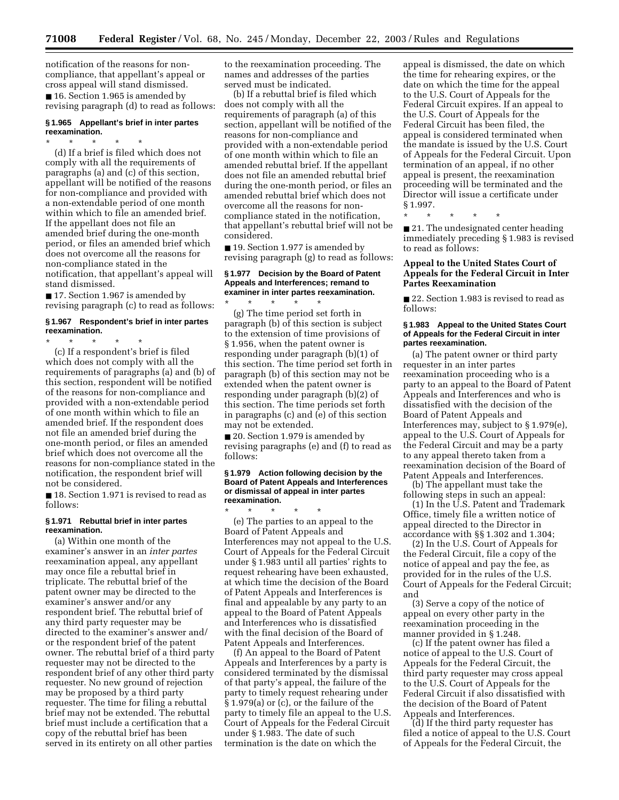notification of the reasons for noncompliance, that appellant's appeal or cross appeal will stand dismissed. ■ 16. Section 1.965 is amended by revising paragraph (d) to read as follows:

### **§ 1.965 Appellant's brief in inter partes reexamination.**

\* \* \* \* \*

(d) If a brief is filed which does not comply with all the requirements of paragraphs (a) and (c) of this section, appellant will be notified of the reasons for non-compliance and provided with a non-extendable period of one month within which to file an amended brief. If the appellant does not file an amended brief during the one-month period, or files an amended brief which does not overcome all the reasons for non-compliance stated in the notification, that appellant's appeal will stand dismissed.

■ 17. Section 1.967 is amended by revising paragraph (c) to read as follows:

## **§ 1.967 Respondent's brief in inter partes reexamination.**

\* \* \* \* \* (c) If a respondent's brief is filed which does not comply with all the requirements of paragraphs (a) and (b) of this section, respondent will be notified of the reasons for non-compliance and provided with a non-extendable period of one month within which to file an amended brief. If the respondent does not file an amended brief during the one-month period, or files an amended brief which does not overcome all the reasons for non-compliance stated in the notification, the respondent brief will not be considered.

■ 18. Section 1.971 is revised to read as follows:

#### **§ 1.971 Rebuttal brief in inter partes reexamination.**

(a) Within one month of the examiner's answer in an *inter partes*  reexamination appeal, any appellant may once file a rebuttal brief in triplicate. The rebuttal brief of the patent owner may be directed to the examiner's answer and/or any respondent brief. The rebuttal brief of any third party requester may be directed to the examiner's answer and/ or the respondent brief of the patent owner. The rebuttal brief of a third party requester may not be directed to the respondent brief of any other third party requester. No new ground of rejection may be proposed by a third party requester. The time for filing a rebuttal brief may not be extended. The rebuttal brief must include a certification that a copy of the rebuttal brief has been served in its entirety on all other parties

to the reexamination proceeding. The names and addresses of the parties served must be indicated.

(b) If a rebuttal brief is filed which does not comply with all the requirements of paragraph (a) of this section, appellant will be notified of the reasons for non-compliance and provided with a non-extendable period of one month within which to file an amended rebuttal brief. If the appellant does not file an amended rebuttal brief during the one-month period, or files an amended rebuttal brief which does not overcome all the reasons for noncompliance stated in the notification, that appellant's rebuttal brief will not be considered.

■ 19. Section 1.977 is amended by revising paragraph (g) to read as follows:

#### **§ 1.977 Decision by the Board of Patent Appeals and Interferences; remand to examiner in inter partes reexamination.**  \* \* \* \* \*

(g) The time period set forth in paragraph (b) of this section is subject to the extension of time provisions of § 1.956, when the patent owner is responding under paragraph (b)(1) of this section. The time period set forth in paragraph (b) of this section may not be extended when the patent owner is responding under paragraph (b)(2) of this section. The time periods set forth in paragraphs (c) and (e) of this section may not be extended.

■ 20. Section 1.979 is amended by revising paragraphs (e) and (f) to read as follows:

#### **§ 1.979 Action following decision by the Board of Patent Appeals and Interferences or dismissal of appeal in inter partes reexamination.**

\* \* \* \* \* (e) The parties to an appeal to the Board of Patent Appeals and Interferences may not appeal to the U.S. Court of Appeals for the Federal Circuit under § 1.983 until all parties' rights to request rehearing have been exhausted, at which time the decision of the Board of Patent Appeals and Interferences is final and appealable by any party to an appeal to the Board of Patent Appeals and Interferences who is dissatisfied with the final decision of the Board of Patent Appeals and Interferences.

(f) An appeal to the Board of Patent Appeals and Interferences by a party is considered terminated by the dismissal of that party's appeal, the failure of the party to timely request rehearing under § 1.979(a) or (c), or the failure of the party to timely file an appeal to the U.S. Court of Appeals for the Federal Circuit under § 1.983. The date of such termination is the date on which the

appeal is dismissed, the date on which the time for rehearing expires, or the date on which the time for the appeal to the U.S. Court of Appeals for the Federal Circuit expires. If an appeal to the U.S. Court of Appeals for the Federal Circuit has been filed, the appeal is considered terminated when the mandate is issued by the U.S. Court of Appeals for the Federal Circuit. Upon termination of an appeal, if no other appeal is present, the reexamination proceeding will be terminated and the Director will issue a certificate under § 1.997.

\* \* \* \* \*

■ 21. The undesignated center heading immediately preceding § 1.983 is revised to read as follows:

# **Appeal to the United States Court of Appeals for the Federal Circuit in Inter Partes Reexamination**

■ 22. Section 1.983 is revised to read as follows:

#### **§ 1.983 Appeal to the United States Court of Appeals for the Federal Circuit in inter partes reexamination.**

(a) The patent owner or third party requester in an inter partes reexamination proceeding who is a party to an appeal to the Board of Patent Appeals and Interferences and who is dissatisfied with the decision of the Board of Patent Appeals and Interferences may, subject to § 1.979(e), appeal to the U.S. Court of Appeals for the Federal Circuit and may be a party to any appeal thereto taken from a reexamination decision of the Board of Patent Appeals and Interferences.

(b) The appellant must take the following steps in such an appeal:

(1) In the U.S. Patent and Trademark Office, timely file a written notice of appeal directed to the Director in accordance with §§ 1.302 and 1.304;

(2) In the U.S. Court of Appeals for the Federal Circuit, file a copy of the notice of appeal and pay the fee, as provided for in the rules of the U.S. Court of Appeals for the Federal Circuit; and

(3) Serve a copy of the notice of appeal on every other party in the reexamination proceeding in the manner provided in § 1.248.

(c) If the patent owner has filed a notice of appeal to the U.S. Court of Appeals for the Federal Circuit, the third party requester may cross appeal to the U.S. Court of Appeals for the Federal Circuit if also dissatisfied with the decision of the Board of Patent Appeals and Interferences.

(d) If the third party requester has filed a notice of appeal to the U.S. Court of Appeals for the Federal Circuit, the